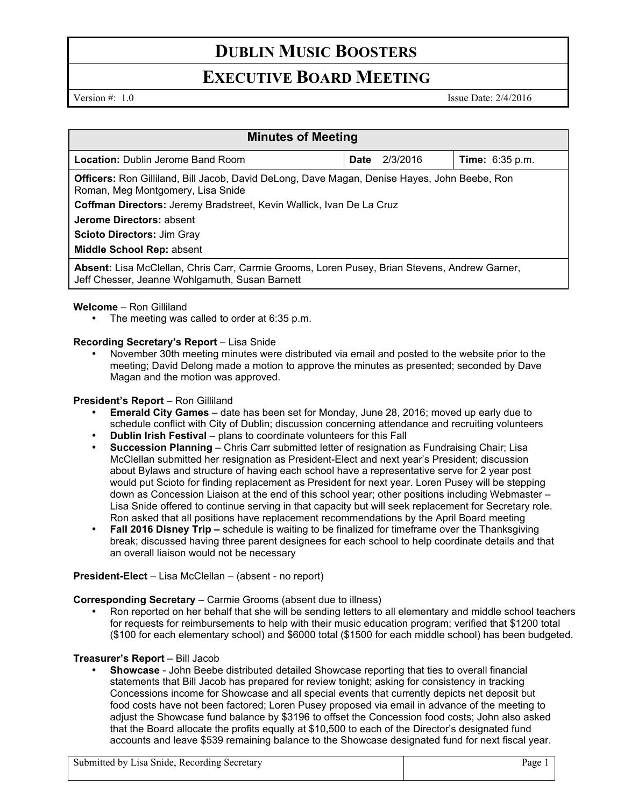# **DUBLIN MUSIC BOOSTERS**

### **EXECUTIVE BOARD MEETING**

Version #: 1.0 Issue Date: 2/4/2016

| <b>Minutes of Meeting</b>                                                                                                                       |      |          |                        |
|-------------------------------------------------------------------------------------------------------------------------------------------------|------|----------|------------------------|
| <b>Location: Dublin Jerome Band Room</b>                                                                                                        | Date | 2/3/2016 | <b>Time:</b> 6:35 p.m. |
| <b>Officers:</b> Ron Gilliland, Bill Jacob, David DeLong, Dave Magan, Denise Hayes, John Beebe, Ron<br>Roman, Meg Montgomery, Lisa Snide        |      |          |                        |
| Coffman Directors: Jeremy Bradstreet, Kevin Wallick, Ivan De La Cruz                                                                            |      |          |                        |
| Jerome Directors: absent                                                                                                                        |      |          |                        |
| <b>Scioto Directors: Jim Gray</b>                                                                                                               |      |          |                        |
| Middle School Rep: absent                                                                                                                       |      |          |                        |
| Absent: Lisa McClellan, Chris Carr, Carmie Grooms, Loren Pusey, Brian Stevens, Andrew Garner,<br>Jeff Chesser, Jeanne Wohlgamuth, Susan Barnett |      |          |                        |

#### **Welcome** – Ron Gilliland

The meeting was called to order at 6:35 p.m.

#### **Recording Secretary's Report** – Lisa Snide

• November 30th meeting minutes were distributed via email and posted to the website prior to the meeting; David Delong made a motion to approve the minutes as presented; seconded by Dave Magan and the motion was approved.

#### **President's Report - Ron Gilliland**

- **Emerald City Games**  date has been set for Monday, June 28, 2016; moved up early due to schedule conflict with City of Dublin; discussion concerning attendance and recruiting volunteers
- **Dublin Irish Festival**  plans to coordinate volunteers for this Fall
- **Succession Planning**  Chris Carr submitted letter of resignation as Fundraising Chair; Lisa McClellan submitted her resignation as President-Elect and next year's President; discussion about Bylaws and structure of having each school have a representative serve for 2 year post would put Scioto for finding replacement as President for next year. Loren Pusey will be stepping down as Concession Liaison at the end of this school year; other positions including Webmaster – Lisa Snide offered to continue serving in that capacity but will seek replacement for Secretary role. Ron asked that all positions have replacement recommendations by the April Board meeting
- **Fall 2016 Disney Trip –** schedule is waiting to be finalized for timeframe over the Thanksgiving break; discussed having three parent designees for each school to help coordinate details and that an overall liaison would not be necessary

#### **President-Elect** – Lisa McClellan – (absent - no report)

**Corresponding Secretary** – Carmie Grooms (absent due to illness)

• Ron reported on her behalf that she will be sending letters to all elementary and middle school teachers for requests for reimbursements to help with their music education program; verified that \$1200 total (\$100 for each elementary school) and \$6000 total (\$1500 for each middle school) has been budgeted.

### **Treasurer's Report** – Bill Jacob

• **Showcase** - John Beebe distributed detailed Showcase reporting that ties to overall financial statements that Bill Jacob has prepared for review tonight; asking for consistency in tracking Concessions income for Showcase and all special events that currently depicts net deposit but food costs have not been factored; Loren Pusey proposed via email in advance of the meeting to adjust the Showcase fund balance by \$3196 to offset the Concession food costs; John also asked that the Board allocate the profits equally at \$10,500 to each of the Director's designated fund accounts and leave \$539 remaining balance to the Showcase designated fund for next fiscal year.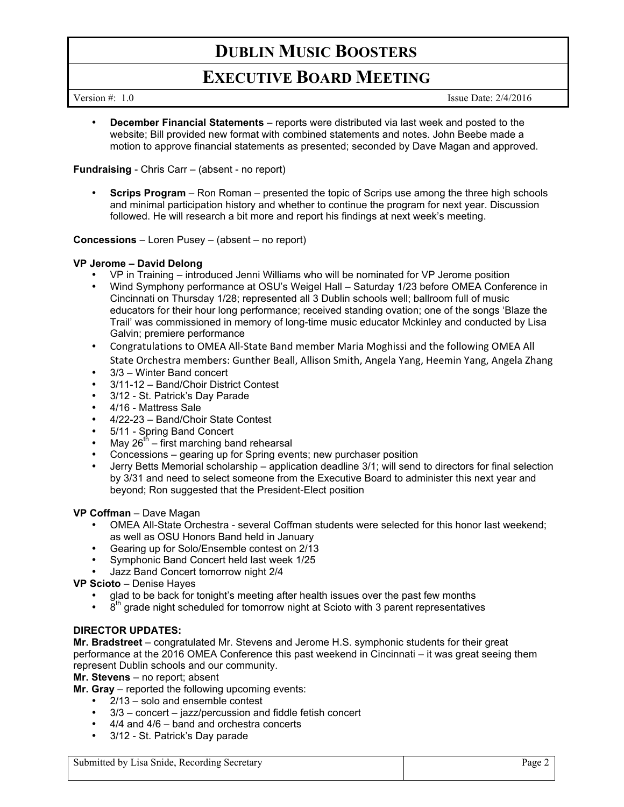# **DUBLIN MUSIC BOOSTERS**

## **EXECUTIVE BOARD MEETING**

Version #: 1.0 Issue Date: 2/4/2016

• **December Financial Statements** – reports were distributed via last week and posted to the website; Bill provided new format with combined statements and notes. John Beebe made a motion to approve financial statements as presented; seconded by Dave Magan and approved.

**Fundraising** - Chris Carr – (absent - no report)

• **Scrips Program** – Ron Roman – presented the topic of Scrips use among the three high schools and minimal participation history and whether to continue the program for next year. Discussion followed. He will research a bit more and report his findings at next week's meeting.

**Concessions** – Loren Pusey – (absent – no report)

#### **VP Jerome – David Delong**

- VP in Training introduced Jenni Williams who will be nominated for VP Jerome position
- Wind Symphony performance at OSU's Weigel Hall Saturday 1/23 before OMEA Conference in Cincinnati on Thursday 1/28; represented all 3 Dublin schools well; ballroom full of music educators for their hour long performance; received standing ovation; one of the songs 'Blaze the Trail' was commissioned in memory of long-time music educator Mckinley and conducted by Lisa Galvin; premiere performance
- Congratulations to OMEA All-State Band member Maria Moghissi and the following OMEA All State Orchestra members: Gunther Beall, Allison Smith, Angela Yang, Heemin Yang, Angela Zhang
- 3/3 Winter Band concert
- 3/11-12 Band/Choir District Contest
- 3/12 St. Patrick's Day Parade
- 4/16 Mattress Sale
- 4/22-23 Band/Choir State Contest
- 5/11 Spring Band Concert
- May  $26^{th}$  first marching band rehearsal
- Concessions gearing up for Spring events; new purchaser position
- Jerry Betts Memorial scholarship application deadline 3/1; will send to directors for final selection by 3/31 and need to select someone from the Executive Board to administer this next year and beyond; Ron suggested that the President-Elect position

**VP Coffman** – Dave Magan

- OMEA All-State Orchestra several Coffman students were selected for this honor last weekend; as well as OSU Honors Band held in January
- Gearing up for Solo/Ensemble contest on 2/13
- Symphonic Band Concert held last week 1/25
- Jazz Band Concert tomorrow night 2/4
- **VP Scioto**  Denise Hayes
	- glad to be back for tonight's meeting after health issues over the past few months
	- $8<sup>th</sup>$  grade night scheduled for tomorrow night at Scioto with 3 parent representatives

### **DIRECTOR UPDATES:**

**Mr. Bradstreet** – congratulated Mr. Stevens and Jerome H.S. symphonic students for their great performance at the 2016 OMEA Conference this past weekend in Cincinnati – it was great seeing them represent Dublin schools and our community.

**Mr. Stevens** – no report; absent

**Mr. Gray** – reported the following upcoming events:

- 2/13 solo and ensemble contest
- 3/3 concert jazz/percussion and fiddle fetish concert
- 4/4 and 4/6 band and orchestra concerts
- 3/12 St. Patrick's Day parade

Submitted by Lisa Snide, Recording Secretary Page 2